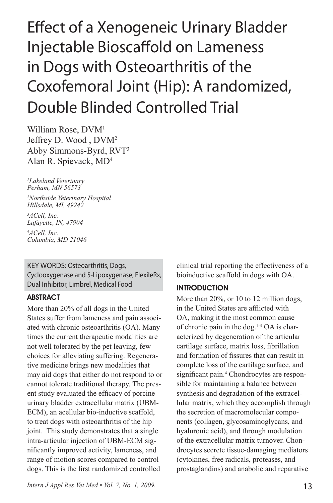# Effect of a Xenogeneic Urinary Bladder Injectable Bioscaffold on Lameness in Dogs with Osteoarthritis of the Coxofemoral Joint (Hip): A randomized, Double Blinded Controlled Trial

William Rose, DVM<sup>1</sup> Jeffrey D. Wood , DVM2 Abby Simmons-Byrd, RVT3 Alan R. Spievack, MD4

*1 Lakeland Veterinary Perham, MN 56573* 

*2 Northside Veterinary Hospital Hillsdale, MI, 49242*

*3 ACell, Inc. Lafayette, IN, 47904 4 ACell, Inc. Columbia, MD 21046*

# KEY WORDS: Osteoarthritis, Dogs, Cyclooxygenase and 5-Lipoxygenase, FlexileRx, Dual Inhibitor, Limbrel, Medical Food

#### ABSTRACT

More than 20% of all dogs in the United States suffer from lameness and pain associated with chronic osteoarthritis (OA). Many times the current therapeutic modalities are not well tolerated by the pet leaving, few choices for alleviating suffering. Regenerative medicine brings new modalities that may aid dogs that either do not respond to or cannot tolerate traditional therapy. The present study evaluated the efficacy of porcine urinary bladder extracellular matrix (UBM-ECM), an acellular bio-inductive scaffold, to treat dogs with osteoarthritis of the hip joint. This study demonstrates that a single intra-articular injection of UBM-ECM significantly improved activity, lameness, and range of motion scores compared to control dogs. This is the first randomized controlled

clinical trial reporting the effectiveness of a bioinductive scaffold in dogs with OA.

### **INTRODUCTION**

More than 20%, or 10 to 12 million dogs, in the United States are afflicted with OA, making it the most common cause of chronic pain in the dog.<sup>1-3</sup> OA is characterized by degeneration of the articular cartilage surface, matrix loss, fibrillation and formation of fissures that can result in complete loss of the cartilage surface, and significant pain.<sup>4</sup> Chondrocytes are responsible for maintaining a balance between synthesis and degradation of the extracellular matrix, which they accomplish through the secretion of macromolecular components (collagen, glycosaminoglycans, and hyaluronic acid), and through modulation of the extracellular matrix turnover. Chondrocytes secrete tissue-damaging mediators (cytokines, free radicals, proteases, and prostaglandins) and anabolic and reparative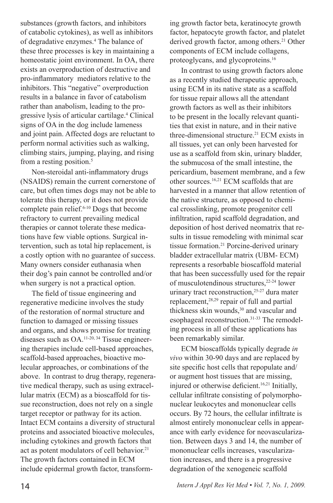substances (growth factors, and inhibitors of catabolic cytokines), as well as inhibitors of degradative enzymes.<sup>4</sup> The balance of these three processes is key in maintaining a homeostatic joint environment. In OA, there exists an overproduction of destructive and pro-inflammatory mediators relative to the inhibitors. This "negative" overproduction results in a balance in favor of catabolism rather than anabolism, leading to the progressive lysis of articular cartilage.4 Clinical signs of OA in the dog include lameness and joint pain. Affected dogs are reluctant to perform normal activities such as walking, climbing stairs, jumping, playing, and rising from a resting position.<sup>5</sup>

Non-steroidal anti-inflammatory drugs (NSAIDS) remain the current cornerstone of care, but often times dogs may not be able to tolerate this therapy, or it does not provide complete pain relief.6-10 Dogs that become refractory to current prevailing medical therapies or cannot tolerate these medications have few viable options. Surgical intervention, such as total hip replacement, is a costly option with no guarantee of success. Many owners consider euthanasia when their dog's pain cannot be controlled and/or when surgery is not a practical option.

The field of tissue engineering and regenerative medicine involves the study of the restoration of normal structure and function to damaged or missing tissues and organs, and shows promise for treating diseases such as OA.11-20, 34 Tissue engineering therapies include cell-based approaches, scaffold-based approaches, bioactive molecular approaches, or combinations of the above. In contrast to drug therapy, regenerative medical therapy, such as using extracellular matrix (ECM) as a bioscaffold for tissue reconstruction, does not rely on a single target receptor or pathway for its action. Intact ECM contains a diversity of structural proteins and associated bioactive molecules, including cytokines and growth factors that act as potent modulators of cell behavior.<sup>21</sup> The growth factors contained in ECM include epidermal growth factor, transforming growth factor beta, keratinocyte growth factor, hepatocyte growth factor, and platelet derived growth factor, among others.<sup>21</sup> Other components of ECM include collagens, proteoglycans, and glycoproteins.16

In contrast to using growth factors alone as a recently studied therapeutic approach, using ECM in its native state as a scaffold for tissue repair allows all the attendant growth factors as well as their inhibitors to be present in the locally relevant quantities that exist in nature, and in their native three-dimensional structure.<sup>21</sup> ECM exists in all tissues, yet can only been harvested for use as a scaffold from skin, urinary bladder, the submucosa of the small intestine, the pericardium, basement membrane, and a few other sources.16,21 ECM scaffolds that are harvested in a manner that allow retention of the native structure, as opposed to chemical crosslinking, promote progenitor cell infiltration, rapid scaffold degradation, and deposition of host derived neomatrix that results in tissue remodeling with minimal scar tissue formation.<sup>21</sup> Porcine-derived urinary bladder extracellular matrix (UBM- ECM) represents a resorbable bioscaffold material that has been successfully used for the repair of musculotendinous structures,<sup>22-24</sup> lower urinary tract reconstruction,<sup>25-27</sup> dura mater replacement,28,29 repair of full and partial thickness skin wounds,<sup>30</sup> and vascular and esophageal reconstruction.<sup>31-33</sup> The remodeling process in all of these applications has been remarkably similar.

ECM bioscaffolds typically degrade *in vivo* within 30-90 days and are replaced by site specific host cells that repopulate and/ or augment host tissues that are missing, injured or otherwise deficient.16,21 Initially, cellular infiltrate consisting of polymorphonuclear leukocytes and mononuclear cells occurs. By 72 hours, the cellular infiltrate is almost entirely mononuclear cells in appearance with early evidence for neovascularization. Between days 3 and 14, the number of mononuclear cells increases, vascularization increases, and there is a progressive degradation of the xenogeneic scaffold

14 *Intern J Appl Res Vet Med • Vol. 7, No. 1, 2009.*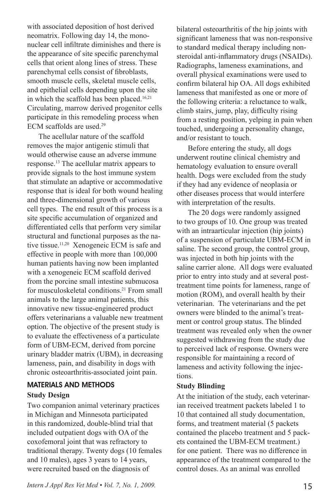with associated deposition of host derived neomatrix. Following day 14, the mononuclear cell infiltrate diminishes and there is the appearance of site specific parenchymal cells that orient along lines of stress. These parenchymal cells consist of fibroblasts, smooth muscle cells, skeletal muscle cells, and epithelial cells depending upon the site in which the scaffold has been placed.<sup>16,21</sup> Circulating, marrow derived progenitor cells participate in this remodeling process when ECM scaffolds are used.29

The acellular nature of the scaffold removes the major antigenic stimuli that would otherwise cause an adverse immune response.13 The acellular matrix appears to provide signals to the host immune system that stimulate an adaptive or accommodative response that is ideal for both wound healing and three-dimensional growth of various cell types. The end result of this process is a site specific accumulation of organized and differentiated cells that perform very similar structural and functional purposes as the native tissue.<sup>11,20</sup> Xenogeneic ECM is safe and effective in people with more than 100,000 human patients having now been implanted with a xenogeneic ECM scaffold derived from the porcine small intestine submucosa for musculoskeletal conditions.<sup>21</sup> From small animals to the large animal patients, this innovative new tissue-engineered product offers veterinarians a valuable new treatment option. The objective of the present study is to evaluate the effectiveness of a particulate form of UBM-ECM, derived from porcine urinary bladder matrix (UBM), in decreasing lameness, pain, and disability in dogs with chronic osteoarthritis-associated joint pain.

## MATERIALS AND METHODS

#### **Study Design**

Two companion animal veterinary practices in Michigan and Minnesota participated in this randomized, double-blind trial that included outpatient dogs with OA of the coxofemoral joint that was refractory to traditional therapy. Twenty dogs (10 females and 10 males), ages 3 years to 14 years, were recruited based on the diagnosis of

*Intern J Appl Res Vet Med • Vol. 7, No. 1, 2009.* 15

bilateral osteoarthritis of the hip joints with significant lameness that was non-responsive to standard medical therapy including nonsteroidal anti-inflammatory drugs (NSAIDs). Radiographs, lameness examinations, and overall physical examinations were used to confirm bilateral hip OA. All dogs exhibited lameness that manifested as one or more of the following criteria: a reluctance to walk, climb stairs, jump, play, difficulty rising from a resting position, yelping in pain when touched, undergoing a personality change, and/or resistant to touch.

Before entering the study, all dogs underwent routine clinical chemistry and hematology evaluation to ensure overall health. Dogs were excluded from the study if they had any evidence of neoplasia or other diseases process that would interfere with interpretation of the results.

The 20 dogs were randomly assigned to two groups of 10. One group was treated with an intraarticular injection (hip joints) of a suspension of particulate UBM-ECM in saline. The second group, the control group, was injected in both hip joints with the saline carrier alone. All dogs were evaluated prior to entry into study and at several posttreatment time points for lameness, range of motion (ROM), and overall health by their veterinarian. The veterinarians and the pet owners were blinded to the animal's treatment or control group status. The blinded treatment was revealed only when the owner suggested withdrawing from the study due to perceived lack of response. Owners were responsible for maintaining a record of lameness and activity following the injections.

#### **Study Blinding**

At the initiation of the study, each veterinarian received treatment packets labeled 1 to 10 that contained all study documentation, forms, and treatment material (5 packets contained the placebo treatment and 5 packets contained the UBM-ECM treatment.) for one patient. There was no difference in appearance of the treatment compared to the control doses. As an animal was enrolled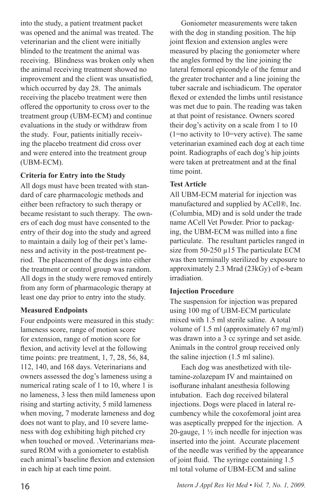into the study, a patient treatment packet was opened and the animal was treated. The veterinarian and the client were initially blinded to the treatment the animal was receiving. Blindness was broken only when the animal receiving treatment showed no improvement and the client was unsatisfied, which occurred by day 28. The animals receiving the placebo treatment were then offered the opportunity to cross over to the treatment group (UBM-ECM) and continue evaluations in the study or withdraw from the study. Four, patients initially receiving the placebo treatment did cross over and were entered into the treatment group (UBM-ECM).

## **Criteria for Entry into the Study**

All dogs must have been treated with standard of care pharmacologic methods and either been refractory to such therapy or became resistant to such therapy. The owners of each dog must have consented to the entry of their dog into the study and agreed to maintain a daily log of their pet's lameness and activity in the post-treatment period. The placement of the dogs into either the treatment or control group was random. All dogs in the study were removed entirely from any form of pharmacologic therapy at least one day prior to entry into the study.

#### **Measured Endpoints**

Four endpoints were measured in this study: lameness score, range of motion score for extension, range of motion score for flexion, and activity level at the following time points: pre treatment, 1, 7, 28, 56, 84, 112, 140, and 168 days. Veterinarians and owners assessed the dog's lameness using a numerical rating scale of 1 to 10, where 1 is no lameness, 3 less then mild lameness upon rising and starting activity, 5 mild lameness when moving, 7 moderate lameness and dog does not want to play, and 10 severe lameness with dog exhibiting high pitched cry when touched or moved. Veterinarians measured ROM with a goniometer to establish each animal's baseline flexion and extension in each hip at each time point.

Goniometer measurements were taken with the dog in standing position. The hip joint flexion and extension angles were measured by placing the goniometer where the angles formed by the line joining the lateral femoral epicondyle of the femur and the greater trochanter and a line joining the tuber sacrale and ischiadicum. The operator flexed or extended the limbs until resistance was met due to pain. The reading was taken at that point of resistance. Owners scored their dog's activity on a scale from 1 to 10 (1=no activity to 10=very active). The same veterinarian examined each dog at each time point. Radiographs of each dog's hip joints were taken at pretreatment and at the final time point.

## **Test Article**

All UBM-ECM material for injection was manufactured and supplied by ACell®, Inc. (Columbia, MD) and is sold under the trade name ACell Vet Powder. Prior to packaging, the UBM-ECM was milled into a fine particulate. The resultant particles ranged in size from  $50-250 \mu 15$  The particulate ECM was then terminally sterilized by exposure to approximately 2.3 Mrad (23kGy) of e-beam irradiation.

#### **Injection Procedure**

The suspension for injection was prepared using 100 mg of UBM-ECM particulate mixed with 1.5 ml sterile saline. A total volume of 1.5 ml (approximately 67 mg/ml) was drawn into a 3 cc syringe and set aside. Animals in the control group received only the saline injection (1.5 ml saline).

Each dog was anesthetized with tiletamine-zolazepam IV and maintained on isoflurane inhalant anesthesia following intubation. Each dog received bilateral injections. Dogs were placed in lateral recumbency while the coxofemoral joint area was aseptically prepped for the injection. A 20-gauge,  $1\frac{1}{2}$  inch needle for injection was inserted into the joint. Accurate placement of the needle was verified by the appearance of joint fluid. The syringe containing 1.5 ml total volume of UBM-ECM and saline

16 *Intern J Appl Res Vet Med • Vol. 7, No. 1, 2009.*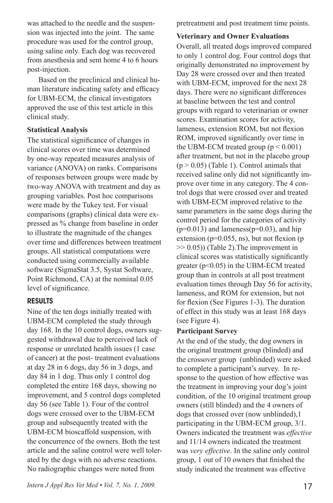was attached to the needle and the suspension was injected into the joint. The same procedure was used for the control group, using saline only. Each dog was recovered from anesthesia and sent home 4 to 6 hours post-injection.

Based on the preclinical and clinical human literature indicating safety and efficacy for UBM-ECM, the clinical investigators approved the use of this test article in this clinical study.

#### **Statistical Analysis**

The statistical significance of changes in clinical scores over time was determined by one-way repeated measures analysis of variance (ANOVA) on ranks. Comparisons of responses between groups were made by two-way ANOVA with treatment and day as grouping variables. Post hoc comparisons were made by the Tukey test. For visual comparisons (graphs) clinical data were expressed as % change from baseline in order to illustrate the magnitude of the changes over time and differences between treatment groups. All statistical computations were conducted using commercially available software (SigmaStat 3.5, Systat Software, Point Richmond, CA) at the nominal 0.05 level of significance.

#### RESULTS

Nine of the ten dogs initially treated with UBM-ECM completed the study through day 168. In the 10 control dogs, owners suggested withdrawal due to perceived lack of response or unrelated health issues (1 case of cancer) at the post- treatment evaluations at day 28 in 6 dogs, day 56 in 3 dogs, and day 84 in 1 dog. Thus only 1 control dog completed the entire 168 days, showing no improvement, and 5 control dogs completed day 56 (see Table 1). Four of the control dogs were crossed over to the UBM-ECM group and subsequently treated with the UBM-ECM bioscaffold suspension, with the concurrence of the owners. Both the test article and the saline control were well tolerated by the dogs with no adverse reactions. No radiographic changes were noted from

*Intern J Appl Res Vet Med • Vol. 7, No. 1, 2009.* 17

pretreatment and post treatment time points.

#### **Veterinary and Owner Evaluations**

Overall, all treated dogs improved compared to only 1 control dog. Four control dogs that originally demonstrated no improvement by Day 28 were crossed over and then treated with UBM-ECM, improved for the next 28 days. There were no significant differences at baseline between the test and control groups with regard to veterinarian or owner scores. Examination scores for activity, lameness, extension ROM, but not flexion ROM, improved significantly over time in the UBM-ECM treated group  $(p < 0.001)$ after treatment, but not in the placebo group  $(p > 0.05)$  (Table 1). Control animals that received saline only did not significantly improve over time in any category. The 4 control dogs that were crossed over and treated with UBM-ECM improved relative to the same parameters in the same dogs during the control period for the categories of activity  $(p=0.013)$  and lameness $(p=0.03)$ , and hip extension ( $p=0.055$ , ns), but not flexion ( $p$ )  $\gg$  0.05)) (Table 2). The improvement in clinical scores was statistically significantly greater (p<0.05) in the UBM-ECM treated group than in controls at all post treatment evaluation times through Day 56 for activity, lameness, and ROM for extension, but not for flexion (See Figures 1-3). The duration of effect in this study was at least 168 days (see Figure 4).

#### **Participant Survey**

At the end of the study, the dog owners in the original treatment group (blinded) and the crossover group (unblinded) were asked to complete a participant's survey. In response to the question of how effective was the treatment in improving your dog's joint condition, of the 10 original treatment group owners (still blinded) and the 4 owners of dogs that crossed over (now unblinded),1 participating in the UBM-ECM group, 3/1. Owners indicated the treatment was *effective* and 11/14 owners indicated the treatment was *very effective*. In the saline only control group, 1 out of 10 owners that finished the study indicated the treatment was effective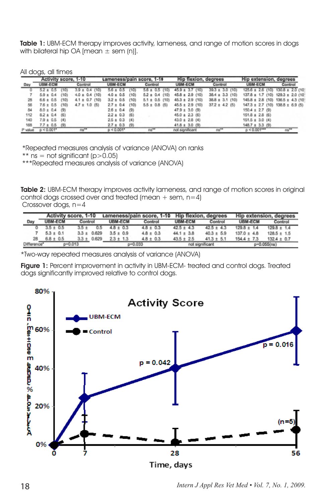Table 1: UBM-ECM therapy improves activity, lameness, and range of motion scores in dogs with bilateral hip OA [mean  $\pm$  sem (n)].

All dogs, all times

|         | Activity score, 1-10 |         |                    | Lameness/pain score, 1-10 |                    | <b>Hip flexion, degrees</b> |                     | <b>Hip extension, degrees</b>             |                      |
|---------|----------------------|---------|--------------------|---------------------------|--------------------|-----------------------------|---------------------|-------------------------------------------|----------------------|
| Day     | UBM-ECM              |         | Control            | <b>UBM-ECM</b>            | Control            | <b>UBM-ECM</b>              | Control             | <b>UBM-ECM</b>                            | Control              |
|         | $5.2 \pm 0.5$        |         | $3.9 \pm 0.4$ (10) | $5.6 \pm 0.5$             | $5.6 \pm 0.5$ (10) | $45.9 \pm 3.7$ (10)         | $39.3 \pm 3.0$ (10) | $125.6 \pm 2.6$ (10)                      | $130.8 \pm 2.0$ (10) |
|         | $5.9 \pm 0.4$        | 19 O Ir | $4.0 \pm 0.4$ (10) | $4.0 \pm 0.5$<br>(10)     | $5.2 \pm 0.4$ (10) | $45.8 \pm 2.9$ (10)         | $38.4 \pm 3.3$ (10) | $137.8 \pm 1.7$ (10) $129.3 \pm 2.0$ (10) |                      |
| 28      | $6.6 \pm 0.5$        | (10)    | $4.1 \pm 0.7$ (10) | $3.2 \pm 0.5$<br>(10)     | $5.1 \pm 0.5$ (10) | $45.3 \pm 2.9$ (10)         | $38.8 \pm 3.1$ (10) | $145.8 \pm 2.8$ (10) $136.5 \pm 4.3$ (10) |                      |
| 56      | $7.6 \pm 0.5$        | (10)    | $4.7 \pm 1.0$ (5)  | $2.7 \pm 0.4$<br>(10)     | $5.5 \pm 0.8$ (5)  | $45.5 \pm 2.9$ (10)         | $37.2 \pm 4.2$ (5)  | $147.3 \pm 2.7$ (10) $138.8 \pm 6.9$ (5)  |                      |
| 84      | $8.0 \pm 0.4$ (9)    |         |                    | $2.6 \pm 0.4$ (9)         |                    | $47.9 \pm 3.0$ (9)          |                     | $150.4 \pm 2.7$ (9)                       |                      |
| 112     | $8.2 \pm 0.4$ (6)    |         |                    | $2.2 \pm 0.3$ (6)         |                    | $45.0 \pm 2.3$ (6)          |                     | $151.8 \pm 2.8$ (6)                       |                      |
| 140     | $7.9 \pm 0.5$        | (4)     |                    | $2.5 \pm 0.3$ (4)         |                    | $43.0 \pm 2.8$ (4)          |                     | $151.5 \pm 3.0$ (4)                       |                      |
| 168     | $7.7 \pm 0.5$ (9)    |         |                    | $2.7 \pm 0.3$ (9)         |                    | $41.8 \pm 3.0$ (9)          |                     | $148.7 \pm 3.3$ (9)                       |                      |
| P value | $p < 0.001$ *        |         | ns**               | $p < 0.001$ *             | $ns**$             | not significant             | $ns**$              | $0 < 0.001***$                            | ns**                 |

\*Repeated measures analysis of variance (ANOVA) on ranks

\*\* ns = not significant  $(p>0.05)$ 

\*\*\*Repeated measures analysis of variance (ANOVA)

Table 2: UBM-ECM therapy improves activity lameness, and range of motion scores in original control dogs crossed over and treated (mean  $+$  sem,  $n=4$ )

Crossover dogs, n=4

|             | Activity score, 1-10 |                 | Lameness/pain score, 1-10 Hip flexion, degrees |               |                 |                | <b>Hip extension, degrees</b> |                 |
|-------------|----------------------|-----------------|------------------------------------------------|---------------|-----------------|----------------|-------------------------------|-----------------|
| Day         | <b>UBM-ECM</b>       | Control         | <b>UBM-ECM</b>                                 | Control       | <b>UBM-ECM</b>  | Control        | <b>UBM-ECM</b>                | Control         |
|             | $3.5 \pm 0.5$        | $3.5 +$<br>0.5  | $48 \pm 0.3$                                   | $4.8 \pm 0.3$ | $42.5 \pm 4.3$  | $42.5 \pm 4.3$ | $129.8 \pm 1.4$               | $129.8 \pm 1.4$ |
|             | $5.3 \pm 0.1$        | $3.3 \pm 0.629$ | $3.5 \pm 0.9$                                  | $4.8 \pm 0.3$ | $44.1 \pm 3.8$  | $40.3 \pm 5.9$ | $137.0 \pm 4.8$               | $128.5 \pm 1.5$ |
| 28          | $6.8 \pm 0.5$        | $3.3 \pm 0.629$ | $23 \pm 13$                                    | $4.8 \pm 0.3$ | $43.5 \pm 2.5$  | $41.3 \pm 5.1$ | $154.4 \pm 7.3$               | $132.4 \pm 0.7$ |
| Difference" | $p = 0.013$          |                 | $0 - 0.033$                                    |               | not significant |                | p=0.055(ns)                   |                 |

\*Two-way repeated measures analysis of variance (ANOVA)

Figure 1: Percent improvement in activity in UBM-ECM- treated and control dogs. Treated dogs significantly improved relative to control dogs.



18 *Intern J Appl Res Vet Med • Vol. 7, No. 1, 2009.*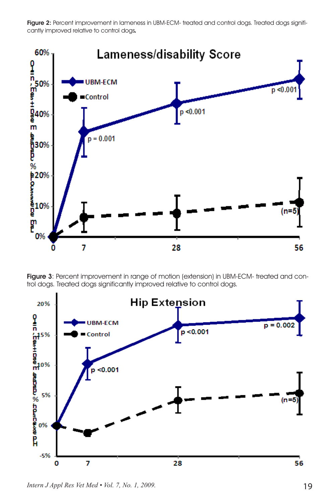Figure 2: Percent improvement in lameness in UBM-ECM- treated and control dogs. Treated dogs significantly improved relative to control dogs*.*



Figure 3: Percent improvement in range of motion (extension) in UBM-ECM- treated and control dogs. Treated dogs significantly improved relative to control dogs.



*Intern J Appl Res Vet Med • Vol. 7, No. 1, 2009.* 19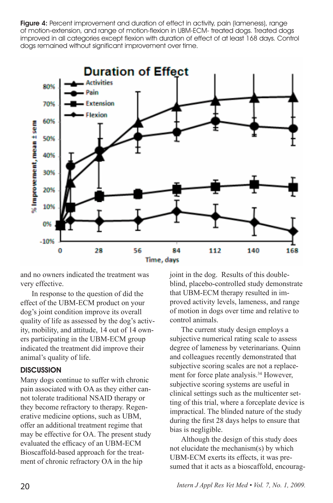**Figure 4:** Percent improvement and duration of effect in activity, pain (lameness), range of motion-extension, and range of motion-flexion in UBM-ECM- treated dogs. Treated dogs improved in all categories except flexion with duration of effect of at least 168 days. Control dogs remained without significant improvement over time.



and no owners indicated the treatment was very effective.

In response to the question of did the effect of the UBM-ECM product on your dog's joint condition improve its overall quality of life as assessed by the dog's activity, mobility, and attitude, 14 out of 14 owners participating in the UBM-ECM group indicated the treatment did improve their animal's quality of life.

#### **DISCUSSION**

Many dogs continue to suffer with chronic pain associated with OA as they either cannot tolerate traditional NSAID therapy or they become refractory to therapy. Regenerative medicine options, such as UBM, offer an additional treatment regime that may be effective for OA. The present study evaluated the efficacy of an UBM-ECM Bioscaffold-based approach for the treatment of chronic refractory OA in the hip

joint in the dog. Results of this doubleblind, placebo-controlled study demonstrate that UBM-ECM therapy resulted in improved activity levels, lameness, and range of motion in dogs over time and relative to control animals.

The current study design employs a subjective numerical rating scale to assess degree of lameness by veterinarians. Quinn and colleagues recently demonstrated that subjective scoring scales are not a replacement for force plate analysis.<sup>34</sup> However, subjective scoring systems are useful in clinical settings such as the multicenter setting of this trial, where a forceplate device is impractical. The blinded nature of the study during the first 28 days helps to ensure that bias is negligible.

Although the design of this study does not elucidate the mechanism(s) by which UBM-ECM exerts its effects, it was presumed that it acts as a bioscaffold, encourag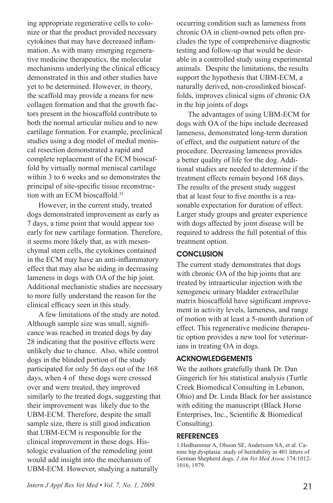ing appropriate regenerative cells to colonize or that the product provided necessary cytokines that may have decreased inflammation. As with many emerging regenerative medicine therapeutics, the molecular mechanisms underlying the clinical efficacy demonstrated in this and other studies have yet to be determined. However, in theory, the scaffold may provide a means for new collagen formation and that the growth factors present in the bioscaffold contribute to both the normal articular milieu and to new cartilage formation. For example, preclinical studies using a dog model of medial meniscal resection demonstrated a rapid and complete replacement of the ECM bioscaffold by virtually normal meniscal cartilage within 3 to 6 weeks and so demonstrates the principal of site-specific tissue reconstruction with an ECM bioscaffold.<sup>35</sup>

However, in the current study, treated dogs demonstrated improvement as early as 7 days, a time point that would appear too early for new cartilage formation. Therefore, it seems more likely that, as with mesenchymal stem cells, the cytokines contained in the ECM may have an anti-inflammatory effect that may also be aiding in decreasing lameness in dogs with OA of the hip joint. Additional mechanistic studies are necessary to more fully understand the reason for the clinical efficacy seen in this study.

A few limitations of the study are noted. Although sample size was small, significance was reached in treated dogs by day 28 indicating that the positive effects were unlikely due to chance. Also, while control dogs in the blinded portion of the study participated for only 56 days out of the 168 days, when 4 of these dogs were crossed over and were treated, they improved similarly to the treated dogs, suggesting that their improvement was likely due to the UBM-ECM. Therefore, despite the small sample size, there is still good indication that UBM-ECM is responsible for the clinical improvement in these dogs. Histologic evaluation of the remodeling joint would add insight into the mechanism of UBM-ECM. However, studying a naturally

*Intern J Appl Res Vet Med • Vol. 7, No. 1, 2009.* 21

occurring condition such as lameness from chronic OA in client-owned pets often precludes the type of comprehensive diagnostic testing and follow-up that would be desirable in a controlled study using experimental animals. Despite the limitations, the results support the hypothesis that UBM-ECM, a naturally derived, non-crosslinked bioscaffolds, improves clinical signs of chronic OA in the hip joints of dogs

The advantages of using UBM-ECM for dogs with OA of the hips include decreased lameness, demonstrated long-term duration of effect, and the outpatient nature of the procedure. Decreasing lameness provides a better quality of life for the dog. Additional studies are needed to determine if the treatment effects remain beyond 168 days. The results of the present study suggest that at least four to five months is a reasonable expectation for duration of effect. Larger study groups and greater experience with dogs affected by joint disease will be required to address the full potential of this treatment option.

#### **CONCLUSION**

The current study demonstrates that dogs with chronic OA of the hip joints that are treated by intraarticular injection with the xenogeneic urinary bladder extracellular matrix bioscaffold have significant improvement in activity levels, lameness, and range of motion with at least a 5-month duration of effect. This regenerative medicine therapeutic option provides a new tool for veterinarians in treating OA in dogs.

#### ACKNOWLEDGEMENTS

We the authors gratefully thank Dr. Dan Gingerich for his statistical analysis (Turtle Creek Biomedical Consulting in Lebanon, Ohio) and Dr. Linda Black for her assistance with editing the manuscript (Black Horse Enterprises, Inc., Scientific & Biomedical Consulting).

#### REFERENCES

1.Hedhammar A, Olsson SE, Andersson SA, et al. Canine hip dysplasia: study of heritability in 401 litters of German Shepherd dogs. *J Am Vet Med Assoc* 174:1012- 1016, 1979.